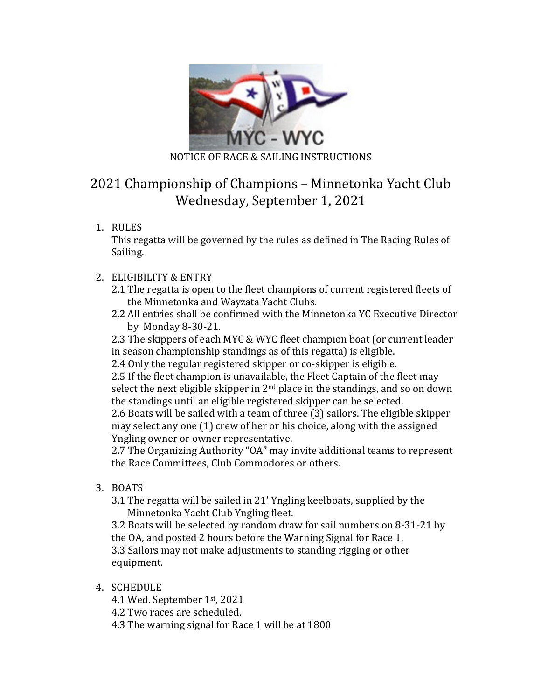

# 2021 Championship of Champions – Minnetonka Yacht Club Wednesday, September 1, 2021

1. RULES

This regatta will be governed by the rules as defined in The Racing Rules of Sailing.

- 2. ELIGIBILITY & ENTRY
	- 2.1 The regatta is open to the fleet champions of current registered fleets of the Minnetonka and Wayzata Yacht Clubs.
	- 2.2 All entries shall be confirmed with the Minnetonka YC Executive Director by Monday 8-30-21.

2.3 The skippers of each MYC & WYC fleet champion boat (or current leader in season championship standings as of this regatta) is eligible.

2.4 Only the regular registered skipper or co-skipper is eligible.

2.5 If the fleet champion is unavailable, the Fleet Captain of the fleet may select the next eligible skipper in  $2<sup>nd</sup>$  place in the standings, and so on down the standings until an eligible registered skipper can be selected.

2.6 Boats will be sailed with a team of three (3) sailors. The eligible skipper may select any one  $(1)$  crew of her or his choice, along with the assigned Yngling owner or owner representative.

2.7 The Organizing Authority "OA" may invite additional teams to represent the Race Committees, Club Commodores or others.

- 3. BOATS
	- 3.1 The regatta will be sailed in 21' Yngling keelboats, supplied by the Minnetonka Yacht Club Yngling fleet.

3.2 Boats will be selected by random draw for sail numbers on 8-31-21 by the OA, and posted 2 hours before the Warning Signal for Race 1. 3.3 Sailors may not make adjustments to standing rigging or other equipment. 

4. SCHEDULE

4.1 Wed. September 1st, 2021

4.2 Two races are scheduled.

4.3 The warning signal for Race 1 will be at 1800